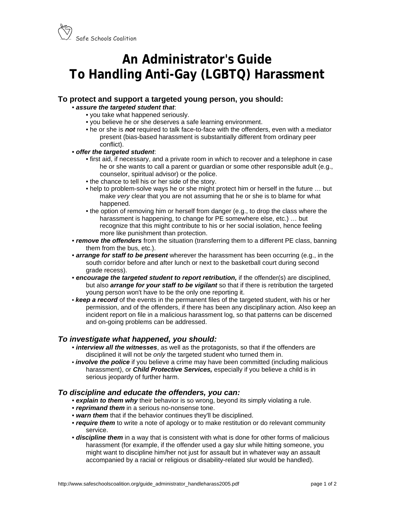

# **An Administrator's Guide To Handling Anti-Gay (LGBTQ) Harassment**

## **To protect and support a targeted young person, you should:**

#### • *assure the targeted student that*:

- you take what happened seriously.
- you believe he or she deserves a safe learning environment.
- he or she is *not* required to talk face-to-face with the offenders, even with a mediator present (bias-based harassment is substantially different from ordinary peer conflict).

#### • *offer the targeted student*:

- first aid, if necessary, and a private room in which to recover and a telephone in case he or she wants to call a parent or guardian or some other responsible adult (e.g., counselor, spiritual advisor) or the police.
- the chance to tell his or her side of the story.
- help to problem-solve ways he or she might protect him or herself in the future … but make *very* clear that you are not assuming that he or she is to blame for what happened.
- the option of removing him or herself from danger (e.g., to drop the class where the harassment is happening, to change for PE somewhere else, etc.) … but recognize that this might contribute to his or her social isolation, hence feeling more like punishment than protection.
- *remove the offenders* from the situation (transferring them to a different PE class, banning them from the bus, etc.).
- *arrange for staff to be present* wherever the harassment has been occurring (e.g., in the south corridor before and after lunch or next to the basketball court during second grade recess).
- **encourage the targeted student to report retribution,** if the offender(s) are disciplined, but also *arrange for your staff to be vigilant* so that if there is retribution the targeted young person won't have to be the only one reporting it.
- *keep a record* of the events in the permanent files of the targeted student, with his or her permission, and of the offenders, if there has been any disciplinary action. Also keep an incident report on file in a malicious harassment log, so that patterns can be discerned and on-going problems can be addressed.

### *To investigate what happened, you should:*

- *interview all the witnesses*, as well as the protagonists, so that if the offenders are disciplined it will not be *only* the targeted student who turned them in.
- *involve the police* if you believe a crime may have been committed (including malicious harassment), or *Child Protective Services,* especially if you believe a child is in serious jeopardy of further harm.

### *To discipline and educate the offenders, you can:*

- *explain to them why* their behavior is so wrong, beyond its simply violating a rule.
- *reprimand them* in a serious no-nonsense tone.
- *warn them* that if the behavior continues they'll be disciplined.
- *require them* to write a note of apology or to make restitution or do relevant community service.
- *discipline them* in a way that is consistent with what is done for other forms of malicious harassment (for example, if the offender used a gay slur while hitting someone, you might want to discipline him/her not just for assault but in whatever way an assault accompanied by a racial or religious or disability-related slur would be handled).